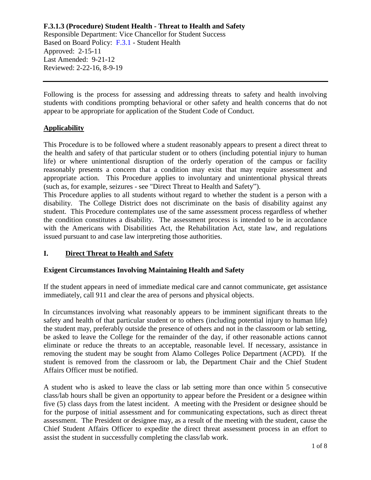Responsible Department: Vice Chancellor for Student Success Based on Board Policy: [F.3.1](https://www.alamo.edu/siteassets/district/about-us/leadership/board-of-trustees/policies-pdfs/section-f/f.3.1-policy.pdf) - Student Health Approved: 2-15-11 Last Amended: 9-21-12 Reviewed: 2-22-16, 8-9-19

Following is the process for assessing and addressing threats to safety and health involving students with conditions prompting behavioral or other safety and health concerns that do not appear to be appropriate for application of the Student Code of Conduct.

## **Applicability**

This Procedure is to be followed where a student reasonably appears to present a direct threat to the health and safety of that particular student or to others (including potential injury to human life) or where unintentional disruption of the orderly operation of the campus or facility reasonably presents a concern that a condition may exist that may require assessment and appropriate action. This Procedure applies to involuntary and unintentional physical threats (such as, for example, seizures - see "Direct Threat to Health and Safety").

This Procedure applies to all students without regard to whether the student is a person with a disability. The College District does not discriminate on the basis of disability against any student. This Procedure contemplates use of the same assessment process regardless of whether the condition constitutes a disability. The assessment process is intended to be in accordance with the Americans with Disabilities Act, the Rehabilitation Act, state law, and regulations issued pursuant to and case law interpreting those authorities.

## **I. Direct Threat to Health and Safety**

## **Exigent Circumstances Involving Maintaining Health and Safety**

If the student appears in need of immediate medical care and cannot communicate, get assistance immediately, call 911 and clear the area of persons and physical objects.

In circumstances involving what reasonably appears to be imminent significant threats to the safety and health of that particular student or to others (including potential injury to human life) the student may, preferably outside the presence of others and not in the classroom or lab setting, be asked to leave the College for the remainder of the day, if other reasonable actions cannot eliminate or reduce the threats to an acceptable, reasonable level. If necessary, assistance in removing the student may be sought from Alamo Colleges Police Department (ACPD). If the student is removed from the classroom or lab, the Department Chair and the Chief Student Affairs Officer must be notified.

A student who is asked to leave the class or lab setting more than once within 5 consecutive class/lab hours shall be given an opportunity to appear before the President or a designee within five (5) class days from the latest incident. A meeting with the President or designee should be for the purpose of initial assessment and for communicating expectations, such as direct threat assessment. The President or designee may, as a result of the meeting with the student, cause the Chief Student Affairs Officer to expedite the direct threat assessment process in an effort to assist the student in successfully completing the class/lab work.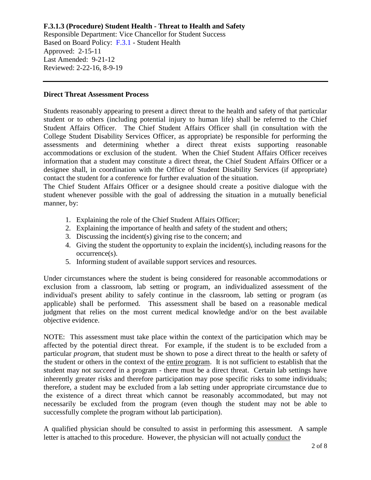Responsible Department: Vice Chancellor for Student Success Based on Board Policy: [F.3.1](https://www.alamo.edu/siteassets/district/about-us/leadership/board-of-trustees/policies-pdfs/section-f/f.3.1-policy.pdf) - Student Health Approved: 2-15-11 Last Amended: 9-21-12 Reviewed: 2-22-16, 8-9-19

#### **Direct Threat Assessment Process**

Students reasonably appearing to present a direct threat to the health and safety of that particular student or to others (including potential injury to human life) shall be referred to the Chief Student Affairs Officer. The Chief Student Affairs Officer shall (in consultation with the College Student Disability Services Officer, as appropriate) be responsible for performing the assessments and determining whether a direct threat exists supporting reasonable accommodations or exclusion of the student. When the Chief Student Affairs Officer receives information that a student may constitute a direct threat, the Chief Student Affairs Officer or a designee shall, in coordination with the Office of Student Disability Services (if appropriate) contact the student for a conference for further evaluation of the situation.

The Chief Student Affairs Officer or a designee should create a positive dialogue with the student whenever possible with the goal of addressing the situation in a mutually beneficial manner, by:

- 1. Explaining the role of the Chief Student Affairs Officer;
- 2. Explaining the importance of health and safety of the student and others;
- 3. Discussing the incident(s) giving rise to the concern; and
- 4. Giving the student the opportunity to explain the incident(s), including reasons for the occurrence(s).
- 5. Informing student of available support services and resources.

Under circumstances where the student is being considered for reasonable accommodations or exclusion from a classroom, lab setting or program, an individualized assessment of the individual's present ability to safely continue in the classroom, lab setting or program (as applicable) shall be performed. This assessment shall be based on a reasonable medical judgment that relies on the most current medical knowledge and/or on the best available objective evidence.

NOTE: This assessment must take place within the context of the participation which may be affected by the potential direct threat. For example, if the student is to be excluded from a particular *program*, that student must be shown to pose a direct threat to the health or safety of the student or others in the context of the entire program. It is not sufficient to establish that the student may not *succeed* in a program - there must be a direct threat. Certain lab settings have inherently greater risks and therefore participation may pose specific risks to some individuals; therefore, a student may be excluded from a lab setting under appropriate circumstance due to the existence of a direct threat which cannot be reasonably accommodated, but may not necessarily be excluded from the program (even though the student may not be able to successfully complete the program without lab participation).

A qualified physician should be consulted to assist in performing this assessment. A sample letter is attached to this procedure. However, the physician will not actually conduct the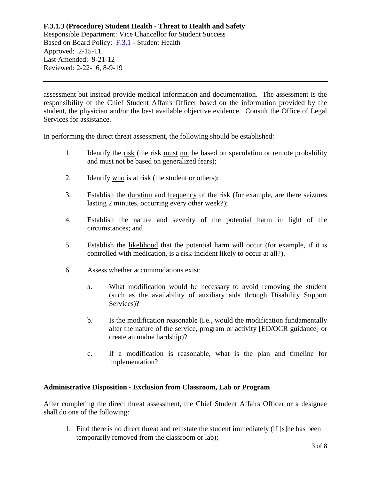Responsible Department: Vice Chancellor for Student Success Based on Board Policy: [F.3.1](https://www.alamo.edu/siteassets/district/about-us/leadership/board-of-trustees/policies-pdfs/section-f/f.3.1-policy.pdf) - Student Health Approved: 2-15-11 Last Amended: 9-21-12 Reviewed: 2-22-16, 8-9-19

assessment but instead provide medical information and documentation. The assessment is the responsibility of the Chief Student Affairs Officer based on the information provided by the student, the physician and/or the best available objective evidence. Consult the Office of Legal Services for assistance.

In performing the direct threat assessment, the following should be established:

- 1. Identify the <u>risk</u> (the risk must not be based on speculation or remote probability and must not be based on generalized fears);
- 2. Identify who is at risk (the student or others);
- 3. Establish the duration and frequency of the risk (for example, are there seizures lasting 2 minutes, occurring every other week?);
- 4. Establish the nature and severity of the potential harm in light of the circumstances; and
- 5. Establish the likelihood that the potential harm will occur (for example, if it is controlled with medication, is a risk-incident likely to occur at all?).
- 6. Assess whether accommodations exist:
	- a. What modification would be necessary to avoid removing the student (such as the availability of auxiliary aids through Disability Support Services)?
	- b. Is the modification reasonable (i.e., would the modification fundamentally alter the nature of the service, program or activity [ED/OCR guidance] or create an undue hardship)?
	- c. If a modification is reasonable, what is the plan and timeline for implementation?

#### **Administrative Disposition - Exclusion from Classroom, Lab or Program**

After completing the direct threat assessment, the Chief Student Affairs Officer or a designee shall do one of the following:

1. Find there is no direct threat and reinstate the student immediately (if [s]he has been temporarily removed from the classroom or lab);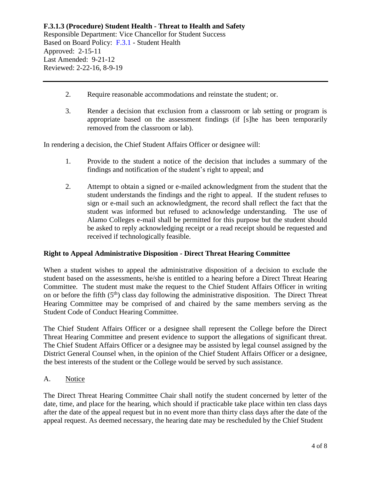#### **F.3.1.3 (Procedure) Student Health - Threat to Health and Safety** Responsible Department: Vice Chancellor for Student Success

Based on Board Policy: [F.3.1](https://www.alamo.edu/siteassets/district/about-us/leadership/board-of-trustees/policies-pdfs/section-f/f.3.1-policy.pdf) - Student Health Approved: 2-15-11 Last Amended: 9-21-12 Reviewed: 2-22-16, 8-9-19

- 2. Require reasonable accommodations and reinstate the student; or.
- 3. Render a decision that exclusion from a classroom or lab setting or program is appropriate based on the assessment findings (if [s]he has been temporarily removed from the classroom or lab).

In rendering a decision, the Chief Student Affairs Officer or designee will:

- 1. Provide to the student a notice of the decision that includes a summary of the findings and notification of the student's right to appeal; and
- 2. Attempt to obtain a signed or e-mailed acknowledgment from the student that the student understands the findings and the right to appeal. If the student refuses to sign or e-mail such an acknowledgment, the record shall reflect the fact that the student was informed but refused to acknowledge understanding. The use of Alamo Colleges e-mail shall be permitted for this purpose but the student should be asked to reply acknowledging receipt or a read receipt should be requested and received if technologically feasible.

## **Right to Appeal Administrative Disposition - Direct Threat Hearing Committee**

When a student wishes to appeal the administrative disposition of a decision to exclude the student based on the assessments, he/she is entitled to a hearing before a Direct Threat Hearing Committee. The student must make the request to the Chief Student Affairs Officer in writing on or before the fifth  $(5<sup>th</sup>)$  class day following the administrative disposition. The Direct Threat Hearing Committee may be comprised of and chaired by the same members serving as the Student Code of Conduct Hearing Committee.

The Chief Student Affairs Officer or a designee shall represent the College before the Direct Threat Hearing Committee and present evidence to support the allegations of significant threat. The Chief Student Affairs Officer or a designee may be assisted by legal counsel assigned by the District General Counsel when, in the opinion of the Chief Student Affairs Officer or a designee, the best interests of the student or the College would be served by such assistance.

A. Notice

The Direct Threat Hearing Committee Chair shall notify the student concerned by letter of the date, time, and place for the hearing, which should if practicable take place within ten class days after the date of the appeal request but in no event more than thirty class days after the date of the appeal request. As deemed necessary, the hearing date may be rescheduled by the Chief Student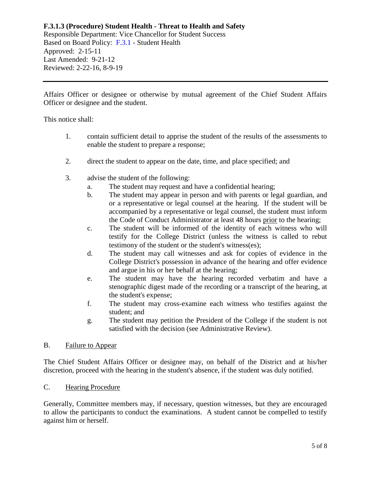Responsible Department: Vice Chancellor for Student Success Based on Board Policy: [F.3.1](https://www.alamo.edu/siteassets/district/about-us/leadership/board-of-trustees/policies-pdfs/section-f/f.3.1-policy.pdf) - Student Health Approved: 2-15-11 Last Amended: 9-21-12 Reviewed: 2-22-16, 8-9-19

Affairs Officer or designee or otherwise by mutual agreement of the Chief Student Affairs Officer or designee and the student.

This notice shall:

- 1. contain sufficient detail to apprise the student of the results of the assessments to enable the student to prepare a response;
- 2. direct the student to appear on the date, time, and place specified; and
- 3. advise the student of the following:
	- a. The student may request and have a confidential hearing;
	- b. The student may appear in person and with parents or legal guardian, and or a representative or legal counsel at the hearing. If the student will be accompanied by a representative or legal counsel, the student must inform the Code of Conduct Administrator at least 48 hours prior to the hearing;
	- c. The student will be informed of the identity of each witness who will testify for the College District (unless the witness is called to rebut testimony of the student or the student's witness(es);
	- d. The student may call witnesses and ask for copies of evidence in the College District's possession in advance of the hearing and offer evidence and argue in his or her behalf at the hearing;
	- e. The student may have the hearing recorded verbatim and have a stenographic digest made of the recording or a transcript of the hearing, at the student's expense;
	- f. The student may cross-examine each witness who testifies against the student; and
	- g. The student may petition the President of the College if the student is not satisfied with the decision (see Administrative Review).

## B. Failure to Appear

The Chief Student Affairs Officer or designee may, on behalf of the District and at his/her discretion, proceed with the hearing in the student's absence, if the student was duly notified.

# C. Hearing Procedure

Generally, Committee members may, if necessary, question witnesses, but they are encouraged to allow the participants to conduct the examinations. A student cannot be compelled to testify against him or herself.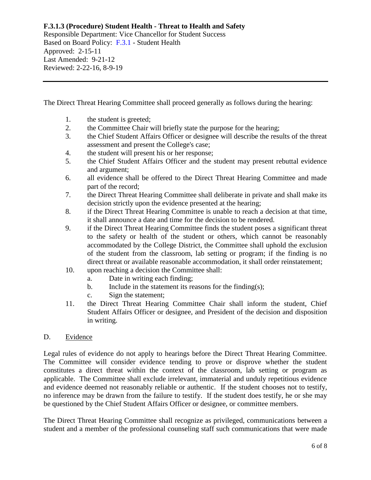Responsible Department: Vice Chancellor for Student Success Based on Board Policy: [F.3.1](https://www.alamo.edu/siteassets/district/about-us/leadership/board-of-trustees/policies-pdfs/section-f/f.3.1-policy.pdf) - Student Health Approved: 2-15-11 Last Amended: 9-21-12 Reviewed: 2-22-16, 8-9-19

The Direct Threat Hearing Committee shall proceed generally as follows during the hearing:

- 1. the student is greeted;
- 2. the Committee Chair will briefly state the purpose for the hearing;
- 3. the Chief Student Affairs Officer or designee will describe the results of the threat assessment and present the College's case;
- 4. the student will present his or her response;
- 5. the Chief Student Affairs Officer and the student may present rebuttal evidence and argument;
- 6. all evidence shall be offered to the Direct Threat Hearing Committee and made part of the record;
- 7. the Direct Threat Hearing Committee shall deliberate in private and shall make its decision strictly upon the evidence presented at the hearing;
- 8. if the Direct Threat Hearing Committee is unable to reach a decision at that time, it shall announce a date and time for the decision to be rendered.
- 9. if the Direct Threat Hearing Committee finds the student poses a significant threat to the safety or health of the student or others, which cannot be reasonably accommodated by the College District, the Committee shall uphold the exclusion of the student from the classroom, lab setting or program; if the finding is no direct threat or available reasonable accommodation, it shall order reinstatement;
- 10. upon reaching a decision the Committee shall:
	- a. Date in writing each finding;
	- b. Include in the statement its reasons for the finding(s):
	- c. Sign the statement;
- 11. the Direct Threat Hearing Committee Chair shall inform the student, Chief Student Affairs Officer or designee, and President of the decision and disposition in writing.

## D. Evidence

Legal rules of evidence do not apply to hearings before the Direct Threat Hearing Committee. The Committee will consider evidence tending to prove or disprove whether the student constitutes a direct threat within the context of the classroom, lab setting or program as applicable. The Committee shall exclude irrelevant, immaterial and unduly repetitious evidence and evidence deemed not reasonably reliable or authentic. If the student chooses not to testify, no inference may be drawn from the failure to testify. If the student does testify, he or she may be questioned by the Chief Student Affairs Officer or designee, or committee members.

The Direct Threat Hearing Committee shall recognize as privileged, communications between a student and a member of the professional counseling staff such communications that were made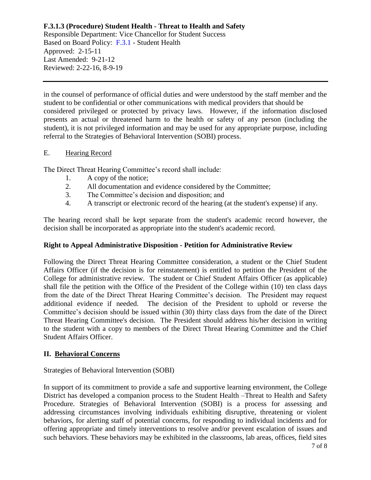Responsible Department: Vice Chancellor for Student Success Based on Board Policy: [F.3.1](https://www.alamo.edu/siteassets/district/about-us/leadership/board-of-trustees/policies-pdfs/section-f/f.3.1-policy.pdf) - Student Health Approved: 2-15-11 Last Amended: 9-21-12 Reviewed: 2-22-16, 8-9-19

in the counsel of performance of official duties and were understood by the staff member and the student to be confidential or other communications with medical providers that should be considered privileged or protected by privacy laws. However, if the information disclosed presents an actual or threatened harm to the health or safety of any person (including the student), it is not privileged information and may be used for any appropriate purpose, including referral to the Strategies of Behavioral Intervention (SOBI) process.

## E. Hearing Record

The Direct Threat Hearing Committee's record shall include:

- 1. A copy of the notice;
- 2. All documentation and evidence considered by the Committee;
- 3. The Committee's decision and disposition; and
- 4. A transcript or electronic record of the hearing (at the student's expense) if any.

The hearing record shall be kept separate from the student's academic record however, the decision shall be incorporated as appropriate into the student's academic record.

# **Right to Appeal Administrative Disposition - Petition for Administrative Review**

Following the Direct Threat Hearing Committee consideration, a student or the Chief Student Affairs Officer (if the decision is for reinstatement) is entitled to petition the President of the College for administrative review. The student or Chief Student Affairs Officer (as applicable) shall file the petition with the Office of the President of the College within (10) ten class days from the date of the Direct Threat Hearing Committee's decision. The President may request additional evidence if needed. The decision of the President to uphold or reverse the Committee's decision should be issued within (30) thirty class days from the date of the Direct Threat Hearing Committee's decision. The President should address his/her decision in writing to the student with a copy to members of the Direct Threat Hearing Committee and the Chief Student Affairs Officer.

# **II. Behavioral Concerns**

Strategies of Behavioral Intervention (SOBI)

In support of its commitment to provide a safe and supportive learning environment, the College District has developed a companion process to the Student Health –Threat to Health and Safety Procedure. Strategies of Behavioral Intervention (SOBI) is a process for assessing and addressing circumstances involving individuals exhibiting disruptive, threatening or violent behaviors, for alerting staff of potential concerns, for responding to individual incidents and for offering appropriate and timely interventions to resolve and/or prevent escalation of issues and such behaviors. These behaviors may be exhibited in the classrooms, lab areas, offices, field sites